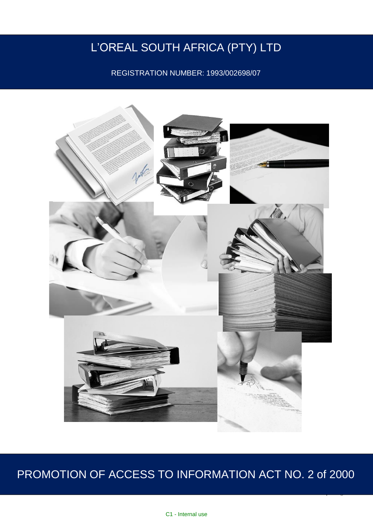# L'OREAL SOUTH AFRICA (PTY) LTD

REGISTRATION NUMBER: 1993/002698/07



# PROMOTION OF ACCESS TO INFORMATION ACT NO. 2 of 2000

1 | P a g e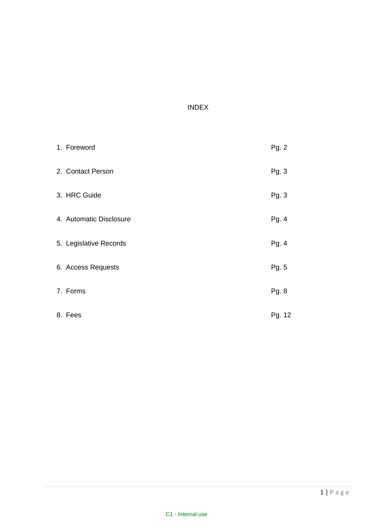# INDEX

| 1. Foreword             | Pg. 2  |
|-------------------------|--------|
| 2. Contact Person       | Pg. 3  |
| 3. HRC Guide            | Pg. 3  |
| 4. Automatic Disclosure | Pg. 4  |
| 5. Legislative Records  | Pg. 4  |
| 6. Access Requests      | Pg. 5  |
| 7. Forms                | Pg. 8  |
| 8. Fees                 | Pg. 12 |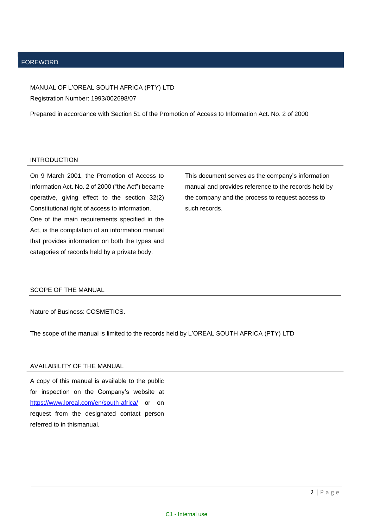#### FOREWORD

MANUAL OF L'OREAL SOUTH AFRICA (PTY) LTD Registration Number: 1993/002698/07

Prepared in accordance with Section 51 of the Promotion of Access to Information Act. No. 2 of 2000

#### INTRODUCTION

On 9 March 2001, the Promotion of Access to Information Act. No. 2 of 2000 ("the Act") became operative, giving effect to the section 32(2) Constitutional right of access to information. One of the main requirements specified in the Act, is the compilation of an information manual that provides information on both the types and categories of records held by a private body.

This document serves as the company's information manual and provides reference to the records held by the company and the process to request access to such records.

#### SCOPE OF THE MANUAL

Nature of Business: COSMETICS.

The scope of the manual is limited to the records held by L'OREAL SOUTH AFRICA (PTY) LTD

#### AVAILABILITY OF THE MANUAL

A copy of this manual is available to the public for inspection on the Company's website at <https://www.loreal.com/en/south-africa/> or on request from the designated contact person referred to in thismanual.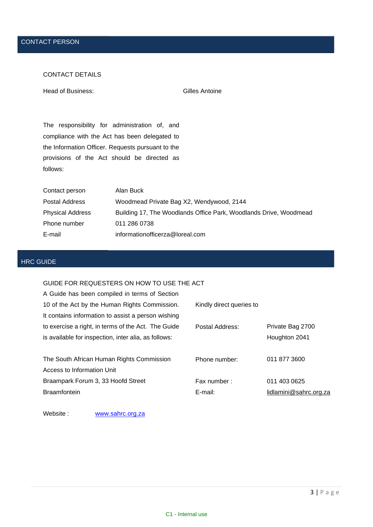# CONTACT DETAILS

Head of Business: Gilles Antoine

The responsibility for administration of, and compliance with the Act has been delegated to the Information Officer. Requests pursuant to the provisions of the Act should be directed as follows:

| Contact person   | Alan Buck                                                         |
|------------------|-------------------------------------------------------------------|
| Postal Address   | Woodmead Private Bag X2, Wendywood, 2144                          |
| Physical Address | Building 17, The Woodlands Office Park, Woodlands Drive, Woodmead |
| Phone number     | 011 286 0738                                                      |
| E-mail           | informationofficerza@loreal.com                                   |

# HRC GUIDE

# GUIDE FOR REQUESTERS ON HOW TO USE THE ACT

| A Guide has been compiled in terms of Section        |                          |                        |
|------------------------------------------------------|--------------------------|------------------------|
| 10 of the Act by the Human Rights Commission.        | Kindly direct queries to |                        |
| It contains information to assist a person wishing   |                          |                        |
| to exercise a right, in terms of the Act. The Guide  | Postal Address:          | Private Bag 2700       |
| is available for inspection, inter alia, as follows: |                          | Houghton 2041          |
|                                                      |                          |                        |
| The South African Human Rights Commission            | Phone number:            | 011 877 3600           |
| Access to Information Unit                           |                          |                        |
| Braampark Forum 3, 33 Hoofd Street                   | Fax number:              | 011 403 0625           |
| <b>Braamfontein</b>                                  | E-mail:                  | lidlamini@sahrc.org.za |

Website : [www.sahrc.org.za](http://www.sahrc.org.za/)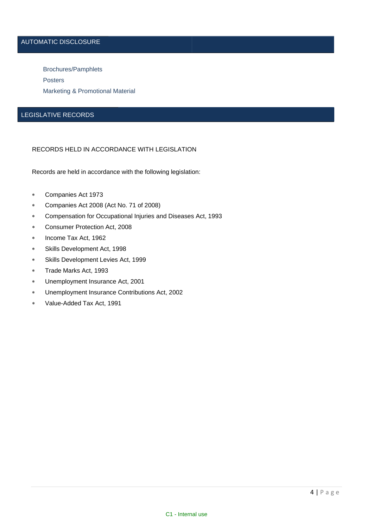# AUTOMATIC DISCLOSURE

Brochures/Pamphlets Posters Marketing & Promotional Material

# LEGISLATIVE RECORDS

### RECORDS HELD IN ACCORDANCE WITH LEGISLATION

Records are held in accordance with the following legislation:

- Companies Act 1973
- Companies Act 2008 (Act No. 71 of 2008)
- Compensation for Occupational Injuries and Diseases Act, 1993
- Consumer Protection Act, 2008
- \* Income Tax Act, 1962
- Skills Development Act, 1998
- Skills Development Levies Act, 1999
- Trade Marks Act, 1993
- Unemployment Insurance Act, 2001
- Unemployment Insurance Contributions Act, 2002
- Value-Added Tax Act, 1991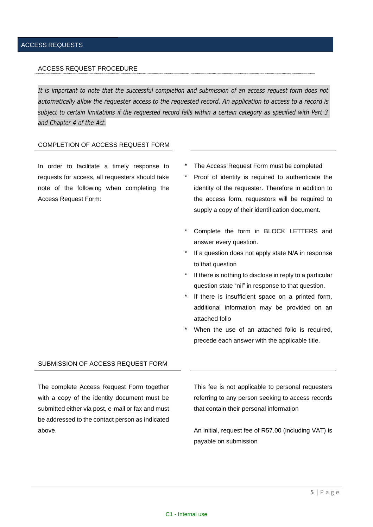#### ACCESS REQUEST PROCEDURE

*and Chapter 4 of the Act.* It is important to note that the successful completion and submission of an access request form does not *automatically allow the requester access to the requested record. An application to access to a record is* subject to certain limitations if the requested record falls within a certain category as specified with Part 3

#### COMPLETION OF ACCESS REQUEST FORM

In order to facilitate a timely response to requests for access, all requesters should take note of the following when completing the Access Request Form:

- The Access Request Form must be completed
- Proof of identity is required to authenticate the identity of the requester. Therefore in addition to the access form, requestors will be required to supply a copy of their identification document.
- \* Complete the form in BLOCK LETTERS and answer every question.
- \* If a question does not apply state N/A in response to that question
- \* If there is nothing to disclose in reply to a particular question state "nil" in response to that question.
- \* If there is insufficient space on a printed form, additional information may be provided on an attached folio
- When the use of an attached folio is required, precede each answer with the applicable title.

### SUBMISSION OF ACCESS REQUEST FORM

The complete Access Request Form together with a copy of the identity document must be submitted either via post, e-mail or fax and must be addressed to the contact person as indicated above.

This fee is not applicable to personal requesters referring to any person seeking to access records that contain their personal information

An initial, request fee of R57.00 (including VAT) is payable on submission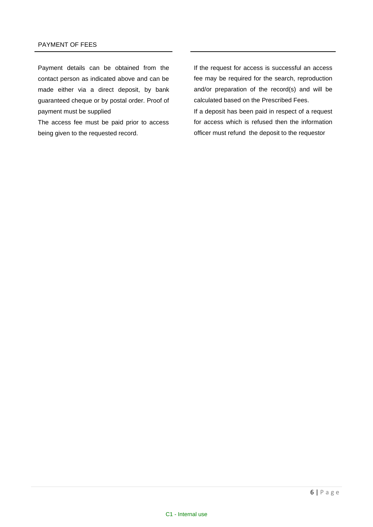Payment details can be obtained from the contact person as indicated above and can be made either via a direct deposit, by bank guaranteed cheque or by postal order. Proof of payment must be supplied

The access fee must be paid prior to access being given to the requested record.

If the request for access is successful an access fee may be required for the search, reproduction and/or preparation of the record(s) and will be calculated based on the Prescribed Fees. If a deposit has been paid in respect of a request for access which is refused then the information

officer must refund the deposit to the requestor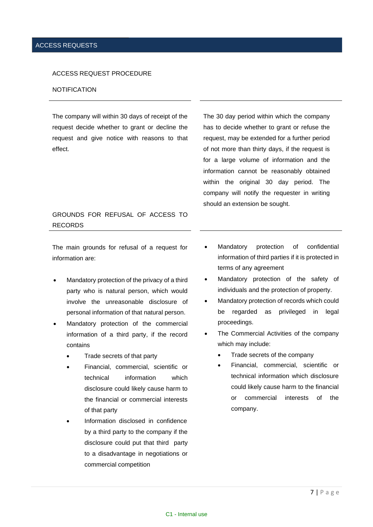#### ACCESS REQUEST PROCEDURE

#### NOTIFICATION

The company will within 30 days of receipt of the request decide whether to grant or decline the request and give notice with reasons to that effect.

The 30 day period within which the company has to decide whether to grant or refuse the request, may be extended for a further period of not more than thirty days, if the request is for a large volume of information and the information cannot be reasonably obtained within the original 30 day period. The company will notify the requester in writing should an extension be sought.

# GROUNDS FOR REFUSAL OF ACCESS TO RECORDS

The main grounds for refusal of a request for information are:

- Mandatory protection of the privacy of a third party who is natural person, which would involve the unreasonable disclosure of personal information of that natural person.
- Mandatory protection of the commercial information of a third party, if the record contains
	- Trade secrets of that party
	- Financial, commercial, scientific or technical information which disclosure could likely cause harm to the financial or commercial interests of that party
	- Information disclosed in confidence by a third party to the company if the disclosure could put that third party to a disadvantage in negotiations or commercial competition
- Mandatory protection of confidential information of third parties if it is protected in terms of any agreement
- Mandatory protection of the safety of individuals and the protection of property.
- Mandatory protection of records which could be regarded as privileged in legal proceedings.
- The Commercial Activities of the company which may include:
	- Trade secrets of the company
	- Financial, commercial, scientific or technical information which disclosure could likely cause harm to the financial or commercial interests of the company.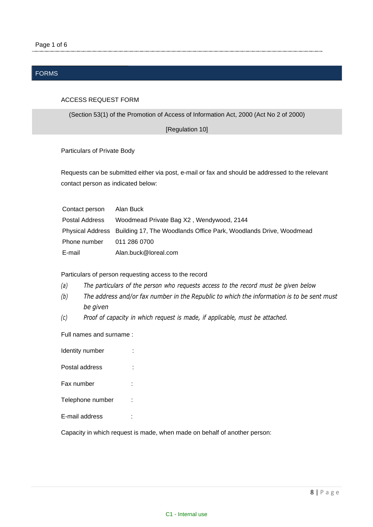# FORMS

### ACCESS REQUEST FORM

(Section 53(1) of the Promotion of Access of Information Act, 2000 (Act No 2 of 2000)

[Regulation 10]

Particulars of Private Body

Requests can be submitted either via post, e-mail or fax and should be addressed to the relevant contact person as indicated below:

| Contact person | Alan Buck                                                                          |
|----------------|------------------------------------------------------------------------------------|
| Postal Address | Woodmead Private Bag X2, Wendywood, 2144                                           |
|                | Physical Address Building 17, The Woodlands Office Park, Woodlands Drive, Woodmead |
| Phone number   | 011 286 0700                                                                       |
| E-mail         | Alan.buck@loreal.com                                                               |

Particulars of person requesting access to the record

- *(a) The particulars of the person who requests access to the record must be given below*
- *(b) The address and/or fax number in the Republic to which the information is to be sent must be given*
- *(c) Proof of capacity in which request is made, if applicable, must be attached.*

Full names and surname :

| Identity number  |  |
|------------------|--|
| Postal address   |  |
| Fax number       |  |
| Telephone number |  |
| E-mail address   |  |

Capacity in which request is made, when made on behalf of another person: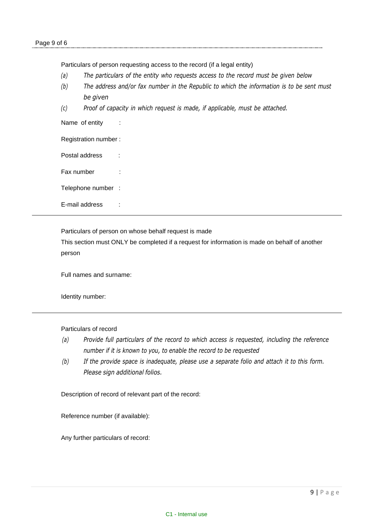Particulars of person requesting access to the record (if a legal entity)

- *(a) The particulars of the entity who requests access to the record must be given below*
- *(b) The address and/or fax number in the Republic to which the information is to be sent must be given*
- *(c) Proof of capacity in which request is made, if applicable, must be attached.*

Name of entity

Registration number :

Postal address :

Fax number :

Telephone number :

E-mail address :

Particulars of person on whose behalf request is made

This section must ONLY be completed if a request for information is made on behalf of another person

Full names and surname:

Identity number:

Particulars of record

- *(a) Provide full particulars of the record to which access is requested, including the reference number if it is known to you, to enable the record to be requested*
- *(b) If the provide space is inadequate, please use a separate folio and attach it to this form. Please sign additional folios.*

Description of record of relevant part of the record:

Reference number (if available):

Any further particulars of record: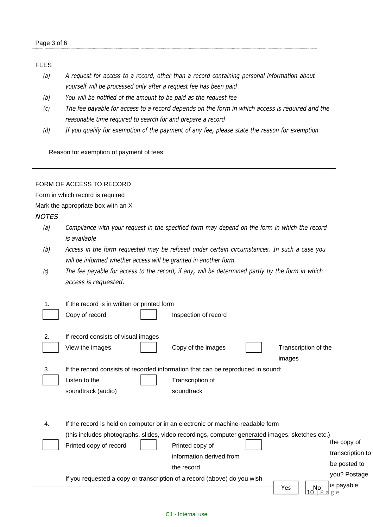# FEES

- *(a) A request for access to a record, other than a record containing personal information about yourself will be processed only after a request fee has been paid*
- *(b) You will be notified of the amount to be paid as the request fee*
- (c) The fee payable for access to a record depends on the form in which access is required and the *reasonable time required to search for and prepare a record*
- *(d) If you qualify for exemption of the payment of any fee, please state the reason for exemption*

Reason for exemption of payment of fees:

# FORM OF ACCESS TO RECORD

Form in which record is required

Mark the appropriate box with an X

# *NOTES*

- *(a) Compliance with your request in the specified form may depend on the form in which the record is available*
- *(b) Access in the form requested may be refused under certain circumstances. In such a case you will be informed whether access will be granted in another form.*
- (c) The fee payable for access to the record, if any, will be determined partly by the form in which *access is requested.*

| Copy of record                      | Inspection of record     |                                                                                                                                                                                                                                                                                                                                                                                                 |
|-------------------------------------|--------------------------|-------------------------------------------------------------------------------------------------------------------------------------------------------------------------------------------------------------------------------------------------------------------------------------------------------------------------------------------------------------------------------------------------|
|                                     |                          |                                                                                                                                                                                                                                                                                                                                                                                                 |
| If record consists of visual images |                          |                                                                                                                                                                                                                                                                                                                                                                                                 |
| View the images                     | Copy of the images       | Transcription of the                                                                                                                                                                                                                                                                                                                                                                            |
|                                     |                          | images                                                                                                                                                                                                                                                                                                                                                                                          |
|                                     |                          |                                                                                                                                                                                                                                                                                                                                                                                                 |
| Listen to the                       | Transcription of         |                                                                                                                                                                                                                                                                                                                                                                                                 |
| soundtrack (audio)                  | soundtrack               |                                                                                                                                                                                                                                                                                                                                                                                                 |
|                                     |                          |                                                                                                                                                                                                                                                                                                                                                                                                 |
|                                     |                          |                                                                                                                                                                                                                                                                                                                                                                                                 |
|                                     |                          |                                                                                                                                                                                                                                                                                                                                                                                                 |
|                                     |                          |                                                                                                                                                                                                                                                                                                                                                                                                 |
| Printed copy of record              | Printed copy of          | the copy of                                                                                                                                                                                                                                                                                                                                                                                     |
|                                     | information derived from | transcription to                                                                                                                                                                                                                                                                                                                                                                                |
|                                     | the record               | be posted to                                                                                                                                                                                                                                                                                                                                                                                    |
|                                     |                          | you? Postage                                                                                                                                                                                                                                                                                                                                                                                    |
|                                     |                          | is payable<br>Yes<br>Nο                                                                                                                                                                                                                                                                                                                                                                         |
|                                     |                          | If the record is in written or printed form<br>If the record consists of recorded information that can be reproduced in sound:<br>If the record is held on computer or in an electronic or machine-readable form<br>(this includes photographs, slides, video recordings, computer generated images, sketches etc.)<br>If you requested a copy or transcription of a record (above) do you wish |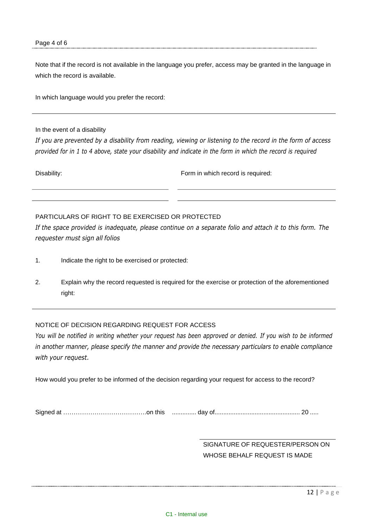Note that if the record is not available in the language you prefer, access may be granted in the language in which the record is available.

In which language would you prefer the record:

In the event of a disability

*If you are prevented by a disability from reading, viewing or listening to the record in the form of access* provided for in 1 to 4 above, state your disability and indicate in the form in which the record is required

Disability: Form in which record is required:

# PARTICULARS OF RIGHT TO BE EXERCISED OR PROTECTED

If the space provided is inadequate, please continue on a separate folio and attach it to this form. The *requester must sign all folios*

- 1. Indicate the right to be exercised or protected:
- 2. Explain why the record requested is required for the exercise or protection of the aforementioned right:

### NOTICE OF DECISION REGARDING REQUEST FOR ACCESS

You will be notified in writing whether your request has been approved or denied. If you wish to be informed *in another manner, please specify the manner and provide the necessary particulars to enable compliance with your request.*

How would you prefer to be informed of the decision regarding your request for access to the record?

Signed at ……………………………………………………………………… day of …………………………………………………………… 20 .....

SIGNATURE OF REQUESTER/PERSON ON WHOSE BEHALF REQUEST IS MADE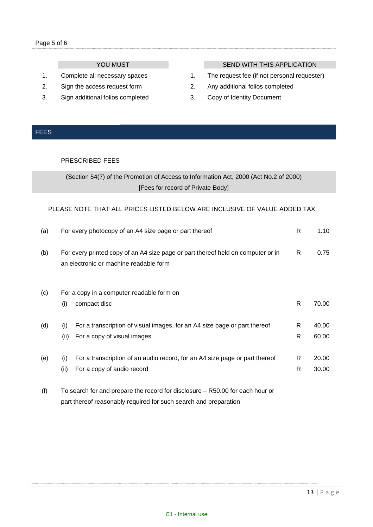- 
- 
- 3. Sign additional folios completed 3. Copy of Identity Document

# YOU MUST SEND WITH THIS APPLICATION

- 1. Complete all necessary spaces 1. The request fee (if not personal requester)
- 2. Sign the access request form 2. Any additional folios completed
	-

# FEES

# PRESCRIBED FEES

(Section 54(7) of the Promotion of Access to Information Act, 2000 (Act No.2 of 2000) [Fees for record of Private Body]

# PLEASE NOTE THAT ALL PRICES LISTED BELOW ARE INCLUSIVE OF VALUE ADDED TAX

| (a) | For every photocopy of an A4 size page or part thereof                                                                     | R      | 1.10           |
|-----|----------------------------------------------------------------------------------------------------------------------------|--------|----------------|
| (b) | For every printed copy of an A4 size page or part thereof held on computer or in<br>an electronic or machine readable form | R      | 0.75           |
| (c) | For a copy in a computer-readable form on<br>(i)<br>compact disc                                                           | R      | 70.00          |
| (d) | For a transcription of visual images, for an A4 size page or part thereof<br>(i)<br>For a copy of visual images<br>(ii)    | R<br>R | 40.00<br>60.00 |
| (e) | For a transcription of an audio record, for an A4 size page or part thereof<br>(i)<br>(ii)<br>For a copy of audio record   | R<br>R | 20.00<br>30.00 |
| (f) | To search for and prepare the record for disclosure – R50.00 for each hour or                                              |        |                |

part thereof reasonably required for such search and preparation